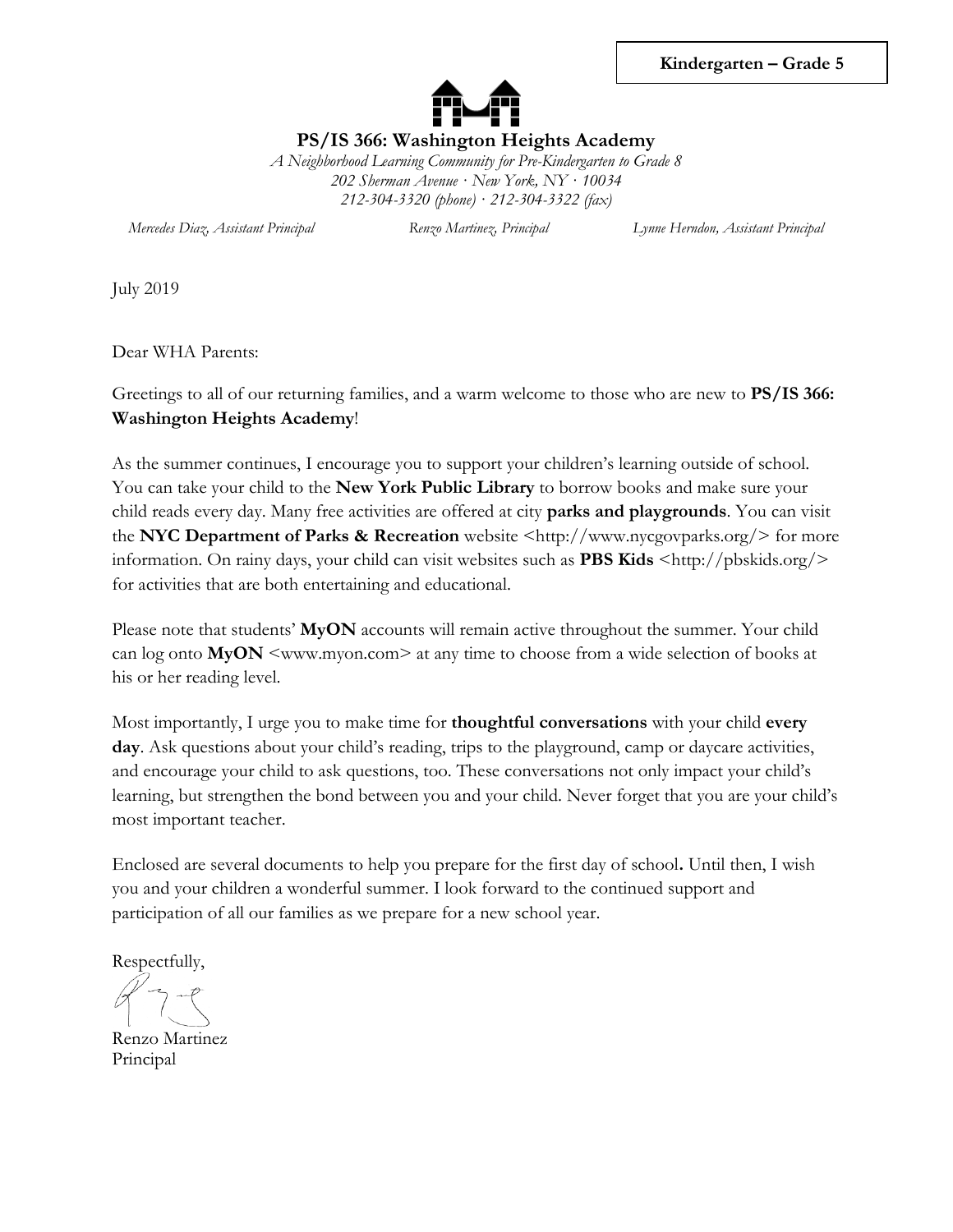

**PS/IS 366: Washington Heights Academy**

*A Neighborhood Learning Community for Pre-Kindergarten to Grade 8 202 Sherman Avenue · New York, NY · 10034 212-304-3320 (phone) · 212-304-3322 (fax)*

*Mercedes Diaz, Assistant Principal Renzo Martinez, Principal Lynne Herndon, Assistant Principal*

July 2019

Dear WHA Parents:

Greetings to all of our returning families, and a warm welcome to those who are new to **PS/IS 366: Washington Heights Academy**!

As the summer continues, I encourage you to support your children's learning outside of school. You can take your child to the **New York Public Library** to borrow books and make sure your child reads every day. Many free activities are offered at city **parks and playgrounds**. You can visit the **NYC Department of Parks & Recreation** website [<http://www.nycgovparks.org/>](http://www.nycgovparks.org/) for more information. On rainy days, your child can visit websites such as **PBS Kids** [<http://pbskids.org/>](http://pbskids.org/) for activities that are both entertaining and educational.

Please note that students' **MyON** accounts will remain active throughout the summer. Your child can log onto **MyON**  $\leq$ www.myon.com> at any time to choose from a wide selection of books at his or her reading level.

Most importantly, I urge you to make time for **thoughtful conversations** with your child **every day**. Ask questions about your child's reading, trips to the playground, camp or daycare activities, and encourage your child to ask questions, too. These conversations not only impact your child's learning, but strengthen the bond between you and your child. Never forget that you are your child's most important teacher.

Enclosed are several documents to help you prepare for the first day of school**.** Until then, I wish you and your children a wonderful summer. I look forward to the continued support and participation of all our families as we prepare for a new school year.

Respectfully,

Renzo Martinez Principal